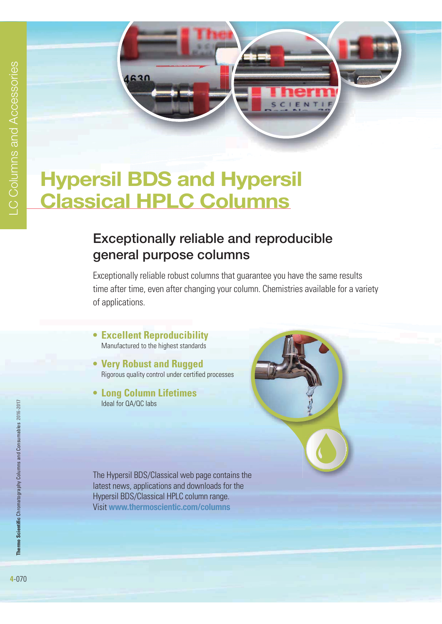

# **Hypersil BDS and Hypersil Classical HPLC Columns**

## **Exceptionally reliable and reproducible general purpose columns**

Exceptionally reliable robust columns that guarantee you have the same results time after time, even after changing your column. Chemistries available for a variety of applications.

- **Excellent Reproducibility** Manufactured to the highest standards
- **Very Robust and Rugged** Rigorous quality control under certified processes
- **Long Column Lifetimes** Ideal for QA/QC labs

The Hypersil BDS/Classical web page contains the latest news, applications and downloads for the Hypersil BDS/Classical HPLC column range. Visit **www.thermoscientic.com/columns**



Thermo Scientific Chromatography Columns and Consumables 2016-2017 **Thermo Scientific** Chromatography Columns and Consumables **2016-2017**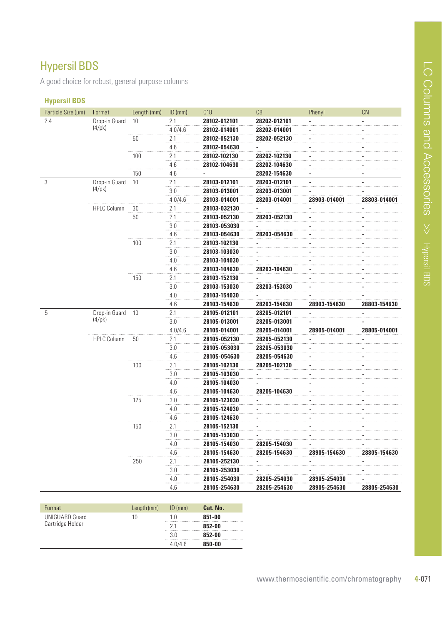## Hypersil BDS

A good choice for robust, general purpose columns

#### **Hypersil BDS**

| Particle Size (µm) | Format                           | Length (mm) | $ID$ (mm) | C18          | C8           | Phenyl         | <b>CN</b>      |
|--------------------|----------------------------------|-------------|-----------|--------------|--------------|----------------|----------------|
| 2.4                | Drop-in Guard                    | 10          | 2.1       | 28102-012101 | 28202-012101 |                |                |
|                    | (4/pk)                           |             | 4.0/4.6   | 28102-014001 | 28202-014001 |                |                |
|                    |                                  | 50          | 2.1       | 28102-052130 | 28202-052130 |                |                |
|                    |                                  |             | 4.6       | 28102-054630 |              |                |                |
|                    |                                  | 100         | 2.1       | 28102-102130 | 28202-102130 |                |                |
|                    |                                  |             | 4.6       | 28102-104630 | 28202-104630 |                |                |
|                    |                                  | 150         | 4.6       | -            | 28202-154630 |                | $\overline{a}$ |
| 3                  | Drop-in Guard                    | 10          | 2.1       | 28103-012101 | 28203-012101 | $\overline{a}$ | $\overline{a}$ |
|                    | $(4/\mathrm{pk})$                |             | 3.0       | 28103-013001 | 28203-013001 |                |                |
|                    |                                  |             | 4.0/4.6   | 28103-014001 | 28203-014001 | 28903-014001   | 28803-014001   |
|                    | <b>HPLC Column</b>               | 30          | 2.1       | 28103-032130 |              |                |                |
|                    |                                  | 50          | 2.1       | 28103-052130 | 28203-052130 |                |                |
|                    |                                  |             | 3.0       | 28103-053030 |              |                |                |
|                    |                                  |             | 4.6       | 28103-054630 | 28203-054630 |                |                |
|                    |                                  | 100         | 2.1       | 28103-102130 |              |                |                |
|                    |                                  |             | 3.0       | 28103-103030 |              |                |                |
|                    |                                  |             | 4.0       | 28103-104030 |              |                |                |
|                    |                                  |             | 4.6       | 28103-104630 | 28203-104630 |                |                |
|                    |                                  | 150         | 2.1       | 28103-152130 |              |                |                |
|                    |                                  |             | 3.0       | 28103-153030 | 28203-153030 |                |                |
|                    |                                  |             | 4.0       | 28103-154030 |              |                |                |
|                    |                                  |             | 4.6       | 28103-154630 | 28203-154630 | 28903-154630   | 28803-154630   |
| 5                  | Drop-in Guard<br>$(4/\text{pk})$ | 10          | 2.1       | 28105-012101 | 28205-012101 |                |                |
|                    |                                  |             | 3.0       | 28105-013001 | 28205-013001 |                |                |
|                    |                                  |             | 4.0/4.6   | 28105-014001 | 28205-014001 | 28905-014001   | 28805-014001   |
|                    | <b>HPLC Column</b>               | 50          | 2.1       | 28105-052130 | 28205-052130 |                |                |
|                    |                                  |             | 3.0       | 28105-053030 | 28205-053030 |                |                |
|                    |                                  |             | 4.6       | 28105-054630 | 28205-054630 |                |                |
|                    |                                  | 100         | 2.1       | 28105-102130 | 28205-102130 |                |                |
|                    |                                  |             | 3.0       | 28105-103030 |              |                |                |
|                    |                                  |             | 4.0       | 28105-104030 |              |                |                |
|                    |                                  |             | 4.6       | 28105-104630 | 28205-104630 |                |                |
|                    |                                  | 125         | 3.0       | 28105-123030 |              |                |                |
|                    |                                  |             | 4.0       | 28105-124030 |              |                |                |
|                    |                                  |             | 4.6       | 28105-124630 |              |                |                |
|                    |                                  | 150         | 2.1       | 28105-152130 |              |                |                |
|                    |                                  |             | 3.0       | 28105-153030 |              |                |                |
|                    |                                  |             | 4.0       | 28105-154030 | 28205-154030 |                |                |
|                    |                                  |             | 4.6       | 28105-154630 | 28205-154630 | 28905-154630   | 28805-154630   |
|                    |                                  | 250         | 2.1       | 28105-252130 |              |                |                |
|                    |                                  |             | 3.0       | 28105-253030 |              |                |                |
|                    |                                  |             | 4.0       | 28105-254030 | 28205-254030 | 28905-254030   |                |
|                    |                                  |             | 4.6       | 28105-254630 | 28205-254630 | 28905-254630   | 28805-254630   |

| Format                                    | Length (mm) | $ID$ (mm) | Cat. No. |
|-------------------------------------------|-------------|-----------|----------|
| <b>UNIGUARD Guard</b><br>Cartridge Holder | 10          | 1 ()      | 851-00   |
|                                           |             | 21        | 852-00   |
|                                           |             | 3 N       | 852-00   |
|                                           |             | 40/46     | 850-00   |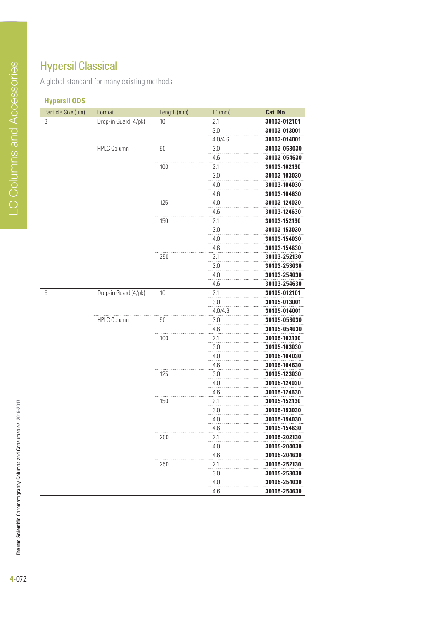## Hypersil Classical

A global standard for many existing methods

### **Hypersil ODS**

| Particle Size (µm) | Format               | Length (mm) | ID (mm)  | Cat. No.     |
|--------------------|----------------------|-------------|----------|--------------|
| 3                  | Drop-in Guard (4/pk) | 10          | 2.1      | 30103-012101 |
|                    |                      |             | 3.0      | 30103-013001 |
|                    |                      |             | 4.0/4.6  | 30103-014001 |
|                    | <b>HPLC Column</b>   | 50          | 3.0      | 30103-053030 |
|                    |                      |             | 4.6      | 30103-054630 |
|                    |                      | 100         | 2.1      | 30103-102130 |
|                    |                      |             | 3.0      | 30103-103030 |
|                    |                      |             | 4.0      | 30103-104030 |
|                    |                      |             | 4.6      | 30103-104630 |
|                    |                      | 125         | 4.0      | 30103-124030 |
|                    |                      |             | 4.6      | 30103-124630 |
|                    |                      | 150         | 2.1      | 30103-152130 |
|                    |                      |             | 3.0      | 30103-153030 |
|                    |                      |             | 4.0      | 30103-154030 |
|                    |                      |             | 4.6      | 30103-154630 |
|                    |                      | 250         | 2.1      | 30103-252130 |
|                    |                      |             | 3.0      | 30103-253030 |
|                    |                      |             | 4.0      | 30103-254030 |
|                    |                      |             | 4.6      | 30103-254630 |
| 5                  | Drop-in Guard (4/pk) | 10          | 2.1      | 30105-012101 |
|                    |                      |             | 3.0      | 30105-013001 |
|                    |                      |             | 4.0/4.6  | 30105-014001 |
|                    | <b>HPLC Column</b>   | 50          | 3.0      | 30105-053030 |
|                    |                      |             | 4.6      | 30105-054630 |
|                    |                      | 100         | 2.1      | 30105-102130 |
|                    |                      |             | 3.0      | 30105-103030 |
|                    |                      |             | 4.0      | 30105-104030 |
|                    |                      |             | 4.6      | 30105-104630 |
|                    |                      | 125         | 3.0      | 30105-123030 |
|                    |                      |             | 4.0      | 30105-124030 |
|                    |                      |             | 4.6      | 30105-124630 |
|                    |                      | 150         | 2.1      | 30105-152130 |
|                    |                      |             | 3.0      | 30105-153030 |
|                    |                      |             | 4.0      | 30105-154030 |
|                    |                      |             | 4.6      | 30105-154630 |
|                    |                      | 200         | 2.1      | 30105-202130 |
|                    |                      |             | 4.0      | 30105-204030 |
|                    |                      |             | 4.6      | 30105-204630 |
|                    |                      | 250         | 2.1      | 30105-252130 |
|                    |                      |             | 3.0      | 30105-253030 |
|                    |                      |             | 4.0<br>. | 30105-254030 |
|                    |                      |             | 4.6      | 30105-254630 |

**Thermo Scientific** Chromatography Columns and Consumables **2016-2017**

Thermo Scientific Chromatography Columns and Consumables 2016-2017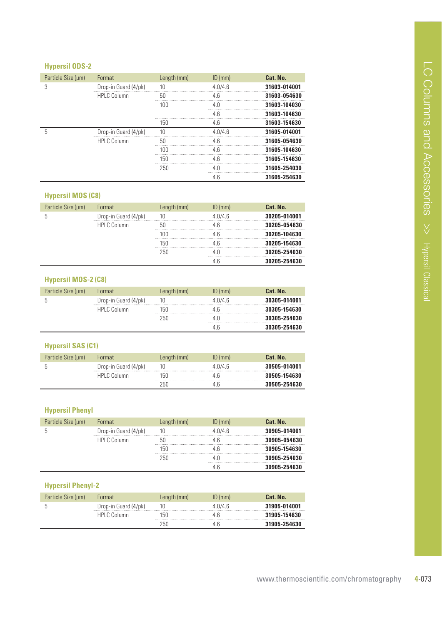### **Hypersil ODS-2**

| Particle Size (µm) | Format               | Length (mm) | $ID$ (mm) | Cat. No.     |
|--------------------|----------------------|-------------|-----------|--------------|
| 3                  | Drop-in Guard (4/pk) | 10          | 4.0/4.6   | 31603-014001 |
|                    | <b>HPLC Column</b>   | 50          | 46        | 31603-054630 |
|                    |                      | 100         | 40        | 31603-104030 |
|                    |                      |             | 4 R       | 31603-104630 |
|                    |                      | 150         | 4.6       | 31603-154630 |
| 5                  | Drop-in Guard (4/pk) | 10          | 4.0/4.6   | 31605-014001 |
|                    | <b>HPLC Column</b>   | 50          | 4.6       | 31605-054630 |
|                    |                      | 100         | 4 6       | 31605-104630 |
|                    |                      | 150         | 46        | 31605-154630 |
|                    |                      | 250         | 4 N       | 31605-254030 |
|                    |                      |             | 4.6       | 31605-254630 |

#### **Hypersil MOS (C8)**

| Particle Size (µm) | Format               | Length (mm) | $ID$ (mm) | Cat. No.     |
|--------------------|----------------------|-------------|-----------|--------------|
|                    | Drop-in Guard (4/pk) | 10          | 4.0/4.6   | 30205-014001 |
|                    | <b>HPLC Column</b>   |             |           | 30205-054630 |
|                    |                      | 100         |           | 30205-104630 |
|                    |                      | 150         |           | 30205-154630 |
|                    |                      | 250         |           | 30205-254030 |
|                    |                      |             |           | 30205-254630 |

#### **Hypersil MOS-2 (C8)**

| Particle Size (µm) | Format               | Length (mm) | $ID$ (mm) | Cat. No.     |
|--------------------|----------------------|-------------|-----------|--------------|
|                    | Drop-in Guard (4/pk) |             | 4.0/4.6   | 30305-014001 |
|                    | HPLC Column          | 150         |           | 30305-154630 |
|                    |                      | 250         |           | 30305-254030 |
|                    |                      |             |           | 30305-254630 |

#### **Hypersil SAS (C1)**

| Particle Size (um) | Format               | Length (mm) | $ID$ (mm) | Cat. No.     |
|--------------------|----------------------|-------------|-----------|--------------|
|                    | Drop-in Guard (4/pk) |             | 40/46     | 30505-014001 |
|                    | HPLC Column          | 150         | Дh        | 30505-154630 |
|                    |                      | 250         | 4 h       | 30505-254630 |

#### **Hypersil Phenyl**

| Particle Size (µm) | Format               | Length (mm) | $ID$ (mm) | Cat. No.     |
|--------------------|----------------------|-------------|-----------|--------------|
|                    | Drop-in Guard (4/pk) | 10          | 4.0/4.6   | 30905-014001 |
|                    | <b>HPLC Column</b>   | 50          |           | 30905-054630 |
|                    |                      | 150         |           | 30905-154630 |
|                    |                      | 250         |           | 30905-254030 |
|                    |                      |             |           | 30905-254630 |

#### **Hypersil Phenyl-2**

| Particle Size (um) | Format               | Length (mm) | $ID$ (mm) | Cat. No.     |
|--------------------|----------------------|-------------|-----------|--------------|
|                    | Drop-in Guard (4/pk) | 10          | 4 0/4 6   | 31905-014001 |
|                    | HPI C Column         | l50         | Дh        | 31905-154630 |
|                    |                      | 250         | h         | 31905-254630 |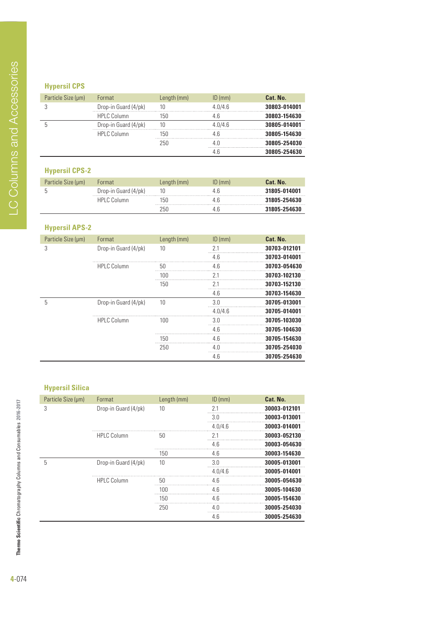### **Hypersil CPS**

| Particle Size (µm) | Format               | Length (mm) | $ID$ (mm) | Cat. No.     |
|--------------------|----------------------|-------------|-----------|--------------|
|                    | Drop-in Guard (4/pk) | 10          | 4.0/4.6   | 30803-014001 |
|                    | <b>HPLC Column</b>   | 150         |           | 30803-154630 |
|                    | Drop-in Guard (4/pk) | 10          | 4 በ/4 6   | 30805-014001 |
|                    | <b>HPLC Column</b>   | 150         |           | 30805-154630 |
|                    |                      | 250         |           | 30805-254030 |
|                    |                      |             |           | 30805-254630 |

## **Hypersil CPS-2**

| Particle Size (µm) | <b>Format</b>        | Length (mm) | $ID$ (mm) | Cat. No.     |
|--------------------|----------------------|-------------|-----------|--------------|
|                    | Drop-in Guard (4/pk) | 10          | 4.6       | 31805-014001 |
|                    | HPLC Column          | lbl.        | 4.b       | 31805-254630 |
|                    |                      | 개           | 4.b       | 31805-254630 |

## **Hypersil APS-2**

| Particle Size (µm) | Format               | Length (mm) | $ID$ (mm) | Cat. No.     |
|--------------------|----------------------|-------------|-----------|--------------|
| 3                  | Drop-in Guard (4/pk) | 10          | 21        | 30703-012101 |
|                    |                      |             | 4.6       | 30703-014001 |
|                    | <b>HPLC Column</b>   | 50          | 4.6       | 30703-054630 |
|                    |                      | 100         | 71        | 30703-102130 |
|                    |                      | 150         |           | 30703-152130 |
|                    |                      |             | 4.6       | 30703-154630 |
| 5                  | Drop-in Guard (4/pk) | 10          | 3.0       | 30705-013001 |
|                    |                      |             | 4.0/4.6   | 30705-014001 |
|                    | <b>HPLC Column</b>   | 100         | 3 O       | 30705-103030 |
|                    |                      |             | 4.6       | 30705-104630 |
|                    |                      | 150         | 4.6       | 30705-154630 |
|                    |                      | 250         | 4.0       | 30705-254030 |
|                    |                      |             | 4.6       | 30705-254630 |

### **Hypersil Silica**

| Particle Size (µm) | Format               | Length (mm) | $ID$ (mm) | Cat. No.     |
|--------------------|----------------------|-------------|-----------|--------------|
| 3                  | Drop-in Guard (4/pk) | 10          | 21        | 30003-012101 |
|                    |                      |             | 3.0       | 30003-013001 |
|                    |                      |             | 4.0/4.6   | 30003-014001 |
|                    | <b>HPLC Column</b>   | 50          | 71        | 30003-052130 |
|                    |                      |             | 4.6       | 30003-054630 |
|                    |                      | 150         | 4.6       | 30003-154630 |
| 5                  | Drop-in Guard (4/pk) | 10          | 30        | 30005-013001 |
|                    |                      |             | 4.0/4.6   | 30005-014001 |
|                    | <b>HPLC Column</b>   | 50          | 4.6       | 30005-054630 |
|                    |                      | 100         | 46        | 30005-104630 |
|                    |                      | 150         | 4.6       | 30005-154630 |
|                    |                      | 250         | 4.0       | 30005-254030 |
|                    |                      |             | 4.6       | 30005-254630 |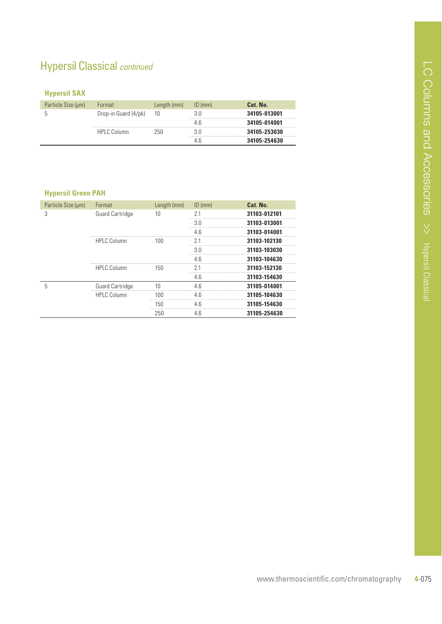## Hypersil Classical continued

### **Hypersil SAX**

| Particle Size (µm) | Format               | Length (mm) | $ID$ (mm) | Cat. No.     |
|--------------------|----------------------|-------------|-----------|--------------|
|                    | Drop-in Guard (4/pk) | 10          | 3.0       | 34105-013001 |
|                    |                      |             | 4 Ƙ       | 34105-014001 |
|                    | HPLC Column          | 250         | 3 O       | 34105-253030 |
|                    |                      |             | 4 h       | 34105-254630 |

#### **Hypersil Green PAH**

| Particle Size (µm) | Format                 | Length (mm)    | $ID$ (mm) | Cat. No.     |
|--------------------|------------------------|----------------|-----------|--------------|
| 3                  | <b>Guard Cartridge</b> | 10             | 2.1       | 31103-012101 |
|                    |                        |                | 3.0       | 31103-013001 |
|                    |                        |                | 4.6       | 31103-014001 |
|                    | <b>HPLC Column</b>     | 100            | 21        | 31103-102130 |
|                    |                        |                | 3.0       | 31103-103030 |
|                    |                        |                | 4.6       | 31103-104630 |
|                    | <b>HPLC Column</b>     | 150            | 21        | 31103-152130 |
|                    |                        |                | 4.6       | 31103-154630 |
| 5                  | <b>Guard Cartridge</b> | 1 <sub>0</sub> | 4.6       | 31105-014001 |
|                    | <b>HPLC Column</b>     | 100            | 4.6       | 31105-104630 |
|                    |                        | 150            | 4.6       | 31105-154630 |
|                    |                        | 250            | 4.6       | 31105-254630 |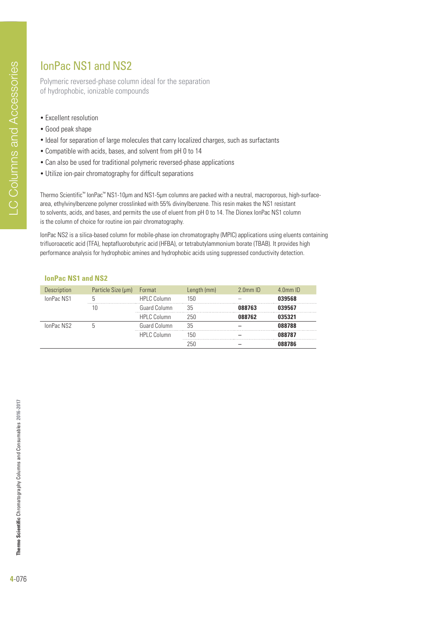## IonPac NS1 and NS2

Polymeric reversed-phase column ideal for the separation of hydrophobic, ionizable compounds

- Excellent resolution
- Good peak shape
- Ideal for separation of large molecules that carry localized charges, such as surfactants
- Compatible with acids, bases, and solvent from pH 0 to 14
- Can also be used for traditional polymeric reversed-phase applications
- Utilize ion-pair chromatography for difficult separations

Thermo Scientific™ IonPac™ NS1-10μm and NS1-5μm columns are packed with a neutral, macroporous, high-surfacearea, ethylvinylbenzene polymer crosslinked with 55% divinylbenzene. This resin makes the NS1 resistant to solvents, acids, and bases, and permits the use of eluent from pH 0 to 14. The Dionex IonPac NS1 column is the column of choice for routine ion pair chromatography.

IonPac NS2 is a silica-based column for mobile-phase ion chromatography (MPIC) applications using eluents containing trifluoroacetic acid (TFA), heptafluorobutyric acid (HFBA), or tetrabutylammonium borate (TBAB). It provides high performance analysis for hydrophobic amines and hydrophobic acids using suppressed conductivity detection.

#### **TonPac NS1 and NS2**

| <b>Description</b> | Particle Size (µm) | Format              | Length (mm) | $2.0$ mm $ID$ | $4.0$ mm $ID$ |
|--------------------|--------------------|---------------------|-------------|---------------|---------------|
| IonPac NS1         |                    | <b>HPLC Column</b>  | 150         |               | 039568        |
|                    | 10                 | <b>Guard Column</b> | 35          | 088763        | 039567        |
|                    |                    | <b>HPLC Column</b>  | 250         | 088762        | 035321        |
| IonPac NS2         |                    | Guard Column        | 35          |               | 088788        |
|                    |                    | <b>HPLC Column</b>  | 150         |               | 088787        |
|                    |                    |                     | 250         |               | 088786        |